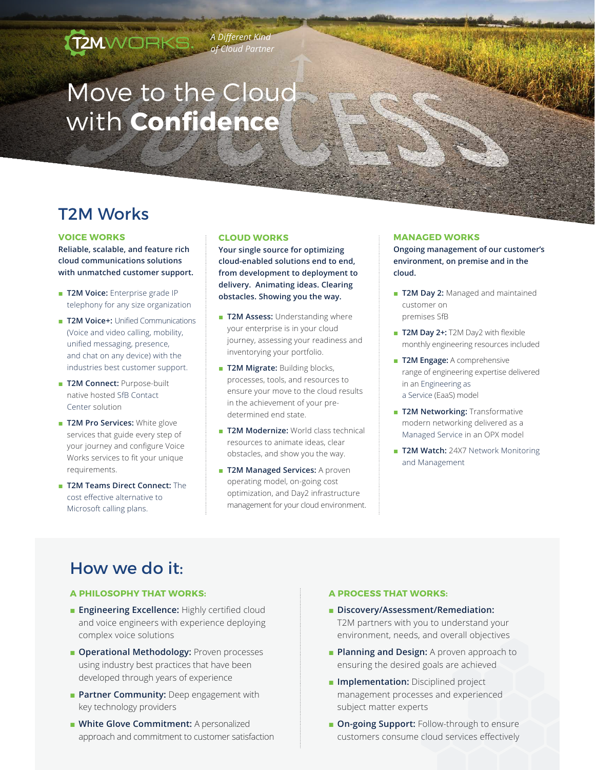# Move to the Cloud with **Confidence**

# T2M Works

#### **VOICE WORKS**

**Reliable, scalable, and feature rich cloud communications solutions with unmatched customer support.**

**T2MWORKS** 

- **T2M Voice:** Enterprise grade IP telephony for any size organization
- **T2M Voice+:** Unified Communications (Voice and video calling, mobility, unified messaging, presence, and chat on any device) with the industries best customer support.
- **T2M Connect:** Purpose-built native hosted SfB Contact Center solution
- **T2M Pro Services:** White glove services that guide every step of your journey and configure Voice Works services to fit your unique requirements.
- **T2M Teams Direct Connect:** The cost effective alternative to Microsoft calling plans.

#### **CLOUD WORKS**

*A Different Kind of Cloud Partner*

> **Your single source for optimizing cloud-enabled solutions end to end, from development to deployment to delivery. Animating ideas. Clearing obstacles. Showing you the way.**

- **T2M Assess: Understanding where** your enterprise is in your cloud journey, assessing your readiness and inventorying your portfolio.
- **T2M Migrate:** Building blocks, processes, tools, and resources to ensure your move to the cloud results in the achievement of your predetermined end state.
- **T2M Modernize:** World class technical resources to animate ideas, clear obstacles, and show you the way.
- **T2M Managed Services:** A proven operating model, on-going cost optimization, and Day2 infrastructure management for your cloud environment.

#### **MANAGED WORKS**

**Ongoing management of our customer's environment, on premise and in the cloud.**

- **T2M Day 2:** Managed and maintained customer on premises SfB
- **T2M Day 2+:** T2M Day2 with flexible monthly engineering resources included
- **T2M Engage:** A comprehensive range of engineering expertise delivered in an Engineering as a Service (EaaS) model
- **T2M Networking: Transformative** modern networking delivered as a Managed Service in an OPX model
- **T2M Watch:** 24X7 Network Monitoring and Management

# How we do it:

#### **A PHILOSOPHY THAT WORKS:**

- **Engineering Excellence: Highly certified cloud** and voice engineers with experience deploying complex voice solutions
- **Operational Methodology:** Proven processes using industry best practices that have been developed through years of experience
- **Partner Community:** Deep engagement with key technology providers
	- **White Glove Commitment:** A personalized approach and commitment to customer satisfaction

#### **A PROCESS THAT WORKS:**

- **Discovery/Assessment/Remediation:**  T2M partners with you to understand your environment, needs, and overall objectives
- **Planning and Design:** A proven approach to ensuring the desired goals are achieved
- **Implementation:** Disciplined project management processes and experienced subject matter experts
- **On-going Support:** Follow-through to ensure customers consume cloud services effectively